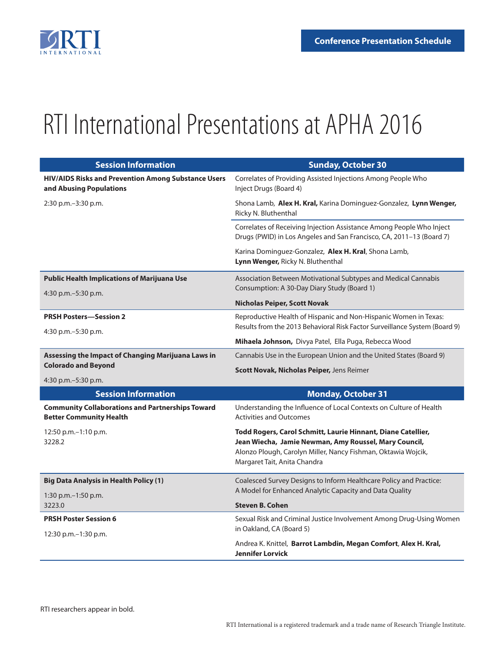

## RTI International Presentations at APHA 2016

| <b>Session Information</b>                                                                | <b>Sunday, October 30</b>                                                                                                                                                                                              |
|-------------------------------------------------------------------------------------------|------------------------------------------------------------------------------------------------------------------------------------------------------------------------------------------------------------------------|
| HIV/AIDS Risks and Prevention Among Substance Users<br>and Abusing Populations            | Correlates of Providing Assisted Injections Among People Who<br>Inject Drugs (Board 4)                                                                                                                                 |
| 2:30 p.m.-3:30 p.m.                                                                       | Shona Lamb, Alex H. Kral, Karina Dominguez-Gonzalez, Lynn Wenger,<br>Ricky N. Bluthenthal                                                                                                                              |
|                                                                                           | Correlates of Receiving Injection Assistance Among People Who Inject<br>Drugs (PWID) in Los Angeles and San Francisco, CA, 2011-13 (Board 7)                                                                           |
|                                                                                           | Karina Dominguez-Gonzalez, Alex H. Kral, Shona Lamb,<br>Lynn Wenger, Ricky N. Bluthenthal                                                                                                                              |
| <b>Public Health Implications of Marijuana Use</b>                                        | Association Between Motivational Subtypes and Medical Cannabis                                                                                                                                                         |
| 4:30 p.m. $-5:30$ p.m.                                                                    | Consumption: A 30-Day Diary Study (Board 1)                                                                                                                                                                            |
|                                                                                           | <b>Nicholas Peiper, Scott Novak</b>                                                                                                                                                                                    |
| <b>PRSH Posters-Session 2</b><br>4:30 p.m. - 5:30 p.m.                                    | Reproductive Health of Hispanic and Non-Hispanic Women in Texas:<br>Results from the 2013 Behavioral Risk Factor Surveillance System (Board 9)                                                                         |
|                                                                                           | Mihaela Johnson, Divya Patel, Ella Puga, Rebecca Wood                                                                                                                                                                  |
| Assessing the Impact of Changing Marijuana Laws in<br><b>Colorado and Beyond</b>          | Cannabis Use in the European Union and the United States (Board 9)                                                                                                                                                     |
|                                                                                           | Scott Novak, Nicholas Peiper, Jens Reimer                                                                                                                                                                              |
| 4:30 p.m. $-5:30$ p.m.                                                                    |                                                                                                                                                                                                                        |
| <b>Session Information</b>                                                                | <b>Monday, October 31</b>                                                                                                                                                                                              |
| <b>Community Collaborations and Partnerships Toward</b><br><b>Better Community Health</b> | Understanding the Influence of Local Contexts on Culture of Health<br><b>Activities and Outcomes</b>                                                                                                                   |
| 12:50 p.m.-1:10 p.m.<br>3228.2                                                            | Todd Rogers, Carol Schmitt, Laurie Hinnant, Diane Catellier,<br>Jean Wiecha, Jamie Newman, Amy Roussel, Mary Council,<br>Alonzo Plough, Carolyn Miller, Nancy Fishman, Oktawia Wojcik,<br>Margaret Tait, Anita Chandra |
| <b>Big Data Analysis in Health Policy (1)</b>                                             | Coalesced Survey Designs to Inform Healthcare Policy and Practice:                                                                                                                                                     |
| 1:30 p.m.-1:50 p.m.                                                                       | A Model for Enhanced Analytic Capacity and Data Quality                                                                                                                                                                |
| 3223.0                                                                                    | <b>Steven B. Cohen</b>                                                                                                                                                                                                 |
| <b>PRSH Poster Session 6</b><br>12:30 p.m. - 1:30 p.m.                                    | Sexual Risk and Criminal Justice Involvement Among Drug-Using Women<br>in Oakland, CA (Board 5)                                                                                                                        |
|                                                                                           | Andrea K. Knittel, Barrot Lambdin, Megan Comfort, Alex H. Kral,<br><b>Jennifer Lorvick</b>                                                                                                                             |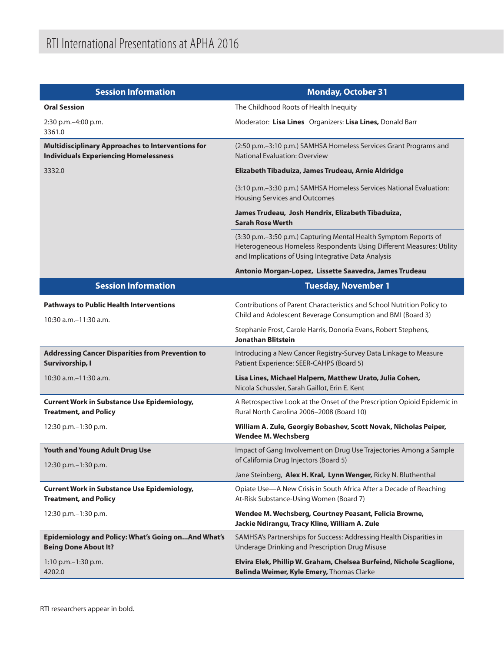| <b>Session Information</b>                                                                               | <b>Monday, October 31</b>                                                                                                                                                                       |
|----------------------------------------------------------------------------------------------------------|-------------------------------------------------------------------------------------------------------------------------------------------------------------------------------------------------|
| <b>Oral Session</b>                                                                                      | The Childhood Roots of Health Inequity                                                                                                                                                          |
| 2:30 p.m.-4:00 p.m.<br>3361.0                                                                            | Moderator: Lisa Lines Organizers: Lisa Lines, Donald Barr                                                                                                                                       |
| <b>Multidisciplinary Approaches to Interventions for</b><br><b>Individuals Experiencing Homelessness</b> | (2:50 p.m.-3:10 p.m.) SAMHSA Homeless Services Grant Programs and<br><b>National Evaluation: Overview</b>                                                                                       |
| 3332.0                                                                                                   | Elizabeth Tibaduiza, James Trudeau, Arnie Aldridge                                                                                                                                              |
|                                                                                                          | (3:10 p.m.-3:30 p.m.) SAMHSA Homeless Services National Evaluation:<br>Housing Services and Outcomes                                                                                            |
|                                                                                                          | James Trudeau, Josh Hendrix, Elizabeth Tibaduiza,<br><b>Sarah Rose Werth</b>                                                                                                                    |
|                                                                                                          | (3:30 p.m.-3:50 p.m.) Capturing Mental Health Symptom Reports of<br>Heterogeneous Homeless Respondents Using Different Measures: Utility<br>and Implications of Using Integrative Data Analysis |
|                                                                                                          | Antonio Morgan-Lopez, Lissette Saavedra, James Trudeau                                                                                                                                          |
| <b>Session Information</b>                                                                               | <b>Tuesday, November 1</b>                                                                                                                                                                      |
| <b>Pathways to Public Health Interventions</b><br>10:30 a.m. - 11:30 a.m.                                | Contributions of Parent Characteristics and School Nutrition Policy to<br>Child and Adolescent Beverage Consumption and BMI (Board 3)                                                           |
|                                                                                                          | Stephanie Frost, Carole Harris, Donoria Evans, Robert Stephens,<br><b>Jonathan Blitstein</b>                                                                                                    |
| <b>Addressing Cancer Disparities from Prevention to</b><br>Survivorship, I                               | Introducing a New Cancer Registry-Survey Data Linkage to Measure<br>Patient Experience: SEER-CAHPS (Board 5)                                                                                    |
| 10:30 a.m. - 11:30 a.m.                                                                                  | Lisa Lines, Michael Halpern, Matthew Urato, Julia Cohen,<br>Nicola Schussler, Sarah Gaillot, Erin E. Kent                                                                                       |
| <b>Current Work in Substance Use Epidemiology,</b><br><b>Treatment, and Policy</b>                       | A Retrospective Look at the Onset of the Prescription Opioid Epidemic in<br>Rural North Carolina 2006-2008 (Board 10)                                                                           |
| 12:30 p.m. - 1:30 p.m.                                                                                   | William A. Zule, Georgiy Bobashev, Scott Novak, Nicholas Peiper,<br><b>Wendee M. Wechsberg</b>                                                                                                  |
| <b>Youth and Young Adult Drug Use</b><br>12:30 p.m. - 1:30 p.m.                                          | Impact of Gang Involvement on Drug Use Trajectories Among a Sample<br>of California Drug Injectors (Board 5)                                                                                    |
|                                                                                                          | Jane Steinberg, Alex H. Kral, Lynn Wenger, Ricky N. Bluthenthal                                                                                                                                 |
| <b>Current Work in Substance Use Epidemiology,</b><br><b>Treatment, and Policy</b>                       | Opiate Use-A New Crisis in South Africa After a Decade of Reaching<br>At-Risk Substance-Using Women (Board 7)                                                                                   |
| 12:30 p.m.-1:30 p.m.                                                                                     | Wendee M. Wechsberg, Courtney Peasant, Felicia Browne,<br>Jackie Ndirangu, Tracy Kline, William A. Zule                                                                                         |
| Epidemiology and Policy: What's Going onAnd What's<br><b>Being Done About It?</b>                        | SAMHSA's Partnerships for Success: Addressing Health Disparities in<br>Underage Drinking and Prescription Drug Misuse                                                                           |
| 1:10 p.m. - 1:30 p.m.<br>4202.0                                                                          | Elvira Elek, Phillip W. Graham, Chelsea Burfeind, Nichole Scaglione,<br>Belinda Weimer, Kyle Emery, Thomas Clarke                                                                               |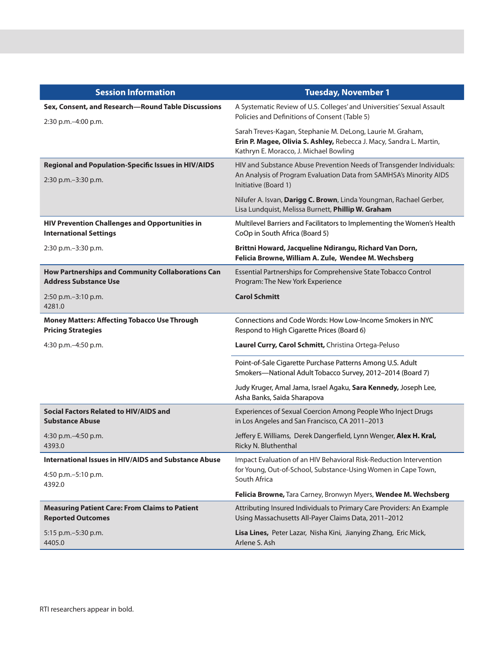| <b>Session Information</b>                                                             | <b>Tuesday, November 1</b>                                                                                                                                                  |
|----------------------------------------------------------------------------------------|-----------------------------------------------------------------------------------------------------------------------------------------------------------------------------|
| Sex, Consent, and Research-Round Table Discussions<br>2:30 p.m.-4:00 p.m.              | A Systematic Review of U.S. Colleges' and Universities' Sexual Assault<br>Policies and Definitions of Consent (Table 5)                                                     |
|                                                                                        | Sarah Treves-Kagan, Stephanie M. DeLong, Laurie M. Graham,<br>Erin P. Magee, Olivia S. Ashley, Rebecca J. Macy, Sandra L. Martin,<br>Kathryn E. Moracco, J. Michael Bowling |
| Regional and Population-Specific Issues in HIV/AIDS<br>2:30 p.m. - 3:30 p.m.           | HIV and Substance Abuse Prevention Needs of Transgender Individuals:<br>An Analysis of Program Evaluation Data from SAMHSA's Minority AIDS<br>Initiative (Board 1)          |
|                                                                                        | Nilufer A. Isvan, Darigg C. Brown, Linda Youngman, Rachael Gerber,<br>Lisa Lundquist, Melissa Burnett, Phillip W. Graham                                                    |
| <b>HIV Prevention Challenges and Opportunities in</b><br><b>International Settings</b> | Multilevel Barriers and Facilitators to Implementing the Women's Health<br>CoOp in South Africa (Board 5)                                                                   |
| 2:30 p.m.-3:30 p.m.                                                                    | Brittni Howard, Jacqueline Ndirangu, Richard Van Dorn,<br>Felicia Browne, William A. Zule, Wendee M. Wechsberg                                                              |
| How Partnerships and Community Collaborations Can<br><b>Address Substance Use</b>      | Essential Partnerships for Comprehensive State Tobacco Control<br>Program: The New York Experience                                                                          |
| 2:50 p.m.-3:10 p.m.<br>4281.0                                                          | <b>Carol Schmitt</b>                                                                                                                                                        |
| <b>Money Matters: Affecting Tobacco Use Through</b><br><b>Pricing Strategies</b>       | Connections and Code Words: How Low-Income Smokers in NYC<br>Respond to High Cigarette Prices (Board 6)                                                                     |
| 4:30 p.m.-4:50 p.m.                                                                    | Laurel Curry, Carol Schmitt, Christina Ortega-Peluso                                                                                                                        |
|                                                                                        | Point-of-Sale Cigarette Purchase Patterns Among U.S. Adult<br>Smokers-National Adult Tobacco Survey, 2012-2014 (Board 7)                                                    |
|                                                                                        | Judy Kruger, Amal Jama, Israel Agaku, Sara Kennedy, Joseph Lee,<br>Asha Banks, Saida Sharapova                                                                              |
| <b>Social Factors Related to HIV/AIDS and</b><br><b>Substance Abuse</b>                | Experiences of Sexual Coercion Among People Who Inject Drugs<br>in Los Angeles and San Francisco, CA 2011-2013                                                              |
| 4:30 p.m. - 4:50 p.m.<br>4393.0                                                        | Jeffery E. Williams, Derek Dangerfield, Lynn Wenger, Alex H. Kral,<br>Ricky N. Bluthenthal                                                                                  |
| International Issues in HIV/AIDS and Substance Abuse                                   | Impact Evaluation of an HIV Behavioral Risk-Reduction Intervention                                                                                                          |
| 4:50 p.m. - 5:10 p.m.<br>4392.0                                                        | for Young, Out-of-School, Substance-Using Women in Cape Town,<br>South Africa                                                                                               |
|                                                                                        | Felicia Browne, Tara Carney, Bronwyn Myers, Wendee M. Wechsberg                                                                                                             |
| <b>Measuring Patient Care: From Claims to Patient</b><br><b>Reported Outcomes</b>      | Attributing Insured Individuals to Primary Care Providers: An Example<br>Using Massachusetts All-Payer Claims Data, 2011-2012                                               |
| 5:15 p.m. - 5:30 p.m.<br>4405.0                                                        | Lisa Lines, Peter Lazar, Nisha Kini, Jianying Zhang, Eric Mick,<br>Arlene S. Ash                                                                                            |